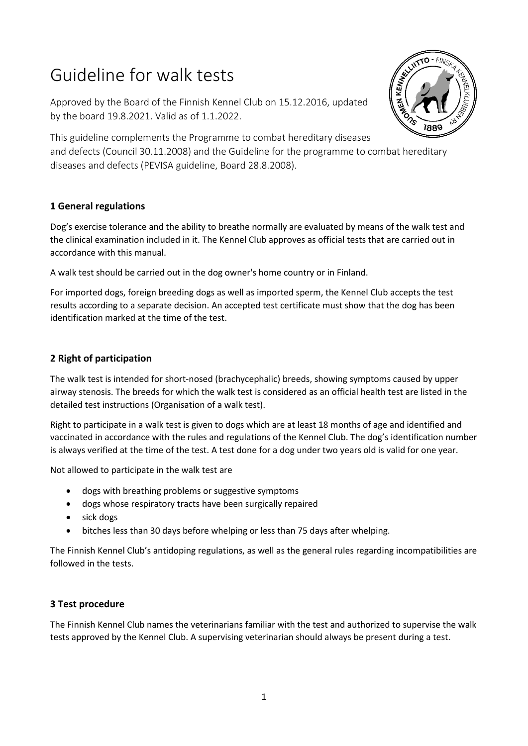# Guideline for walk tests

Approved by the Board of the Finnish Kennel Club on 15.12.2016, updated by the board 19.8.2021. Valid as of 1.1.2022.



This guideline complements the Programme to combat hereditary diseases and defects (Council 30.11.2008) and the Guideline for the programme to combat hereditary diseases and defects (PEVISA guideline, Board 28.8.2008).

## **1 General regulations**

Dog's exercise tolerance and the ability to breathe normally are evaluated by means of the walk test and the clinical examination included in it. The Kennel Club approves as official tests that are carried out in accordance with this manual.

A walk test should be carried out in the dog owner's home country or in Finland.

For imported dogs, foreign breeding dogs as well as imported sperm, the Kennel Club accepts the test results according to a separate decision. An accepted test certificate must show that the dog has been identification marked at the time of the test.

## **2 Right of participation**

The walk test is intended for short-nosed (brachycephalic) breeds, showing symptoms caused by upper airway stenosis. The breeds for which the walk test is considered as an official health test are listed in the detailed test instructions (Organisation of a walk test).

Right to participate in a walk test is given to dogs which are at least 18 months of age and identified and vaccinated in accordance with the rules and regulations of the Kennel Club. The dog's identification number is always verified at the time of the test. A test done for a dog under two years old is valid for one year.

Not allowed to participate in the walk test are

- dogs with breathing problems or suggestive symptoms
- dogs whose respiratory tracts have been surgically repaired
- sick dogs
- bitches less than 30 days before whelping or less than 75 days after whelping.

The Finnish Kennel Club's antidoping regulations, as well as the general rules regarding incompatibilities are followed in the tests.

### **3 Test procedure**

The Finnish Kennel Club names the veterinarians familiar with the test and authorized to supervise the walk tests approved by the Kennel Club. A supervising veterinarian should always be present during a test.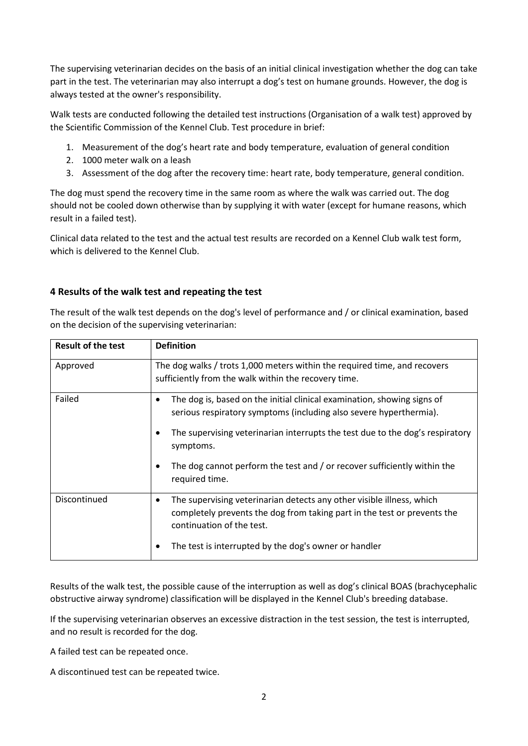The supervising veterinarian decides on the basis of an initial clinical investigation whether the dog can take part in the test. The veterinarian may also interrupt a dog's test on humane grounds. However, the dog is always tested at the owner's responsibility.

Walk tests are conducted following the detailed test instructions (Organisation of a walk test) approved by the Scientific Commission of the Kennel Club. Test procedure in brief:

- 1. Measurement of the dog's heart rate and body temperature, evaluation of general condition
- 2. 1000 meter walk on a leash
- 3. Assessment of the dog after the recovery time: heart rate, body temperature, general condition.

The dog must spend the recovery time in the same room as where the walk was carried out. The dog should not be cooled down otherwise than by supplying it with water (except for humane reasons, which result in a failed test).

Clinical data related to the test and the actual test results are recorded on a Kennel Club walk test form, which is delivered to the Kennel Club.

#### **4 Results of the walk test and repeating the test**

The result of the walk test depends on the dog's level of performance and / or clinical examination, based on the decision of the supervising veterinarian:

| <b>Result of the test</b> | <b>Definition</b>                                                                                                                                                                           |
|---------------------------|---------------------------------------------------------------------------------------------------------------------------------------------------------------------------------------------|
| Approved                  | The dog walks / trots 1,000 meters within the required time, and recovers<br>sufficiently from the walk within the recovery time.                                                           |
| Failed                    | The dog is, based on the initial clinical examination, showing signs of<br>٠<br>serious respiratory symptoms (including also severe hyperthermia).                                          |
|                           | The supervising veterinarian interrupts the test due to the dog's respiratory<br>symptoms.                                                                                                  |
|                           | The dog cannot perform the test and / or recover sufficiently within the<br>required time.                                                                                                  |
| Discontinued              | The supervising veterinarian detects any other visible illness, which<br>$\bullet$<br>completely prevents the dog from taking part in the test or prevents the<br>continuation of the test. |
|                           | The test is interrupted by the dog's owner or handler                                                                                                                                       |

Results of the walk test, the possible cause of the interruption as well as dog's clinical BOAS (brachycephalic obstructive airway syndrome) classification will be displayed in the Kennel Club's breeding database.

If the supervising veterinarian observes an excessive distraction in the test session, the test is interrupted, and no result is recorded for the dog.

A failed test can be repeated once.

A discontinued test can be repeated twice.